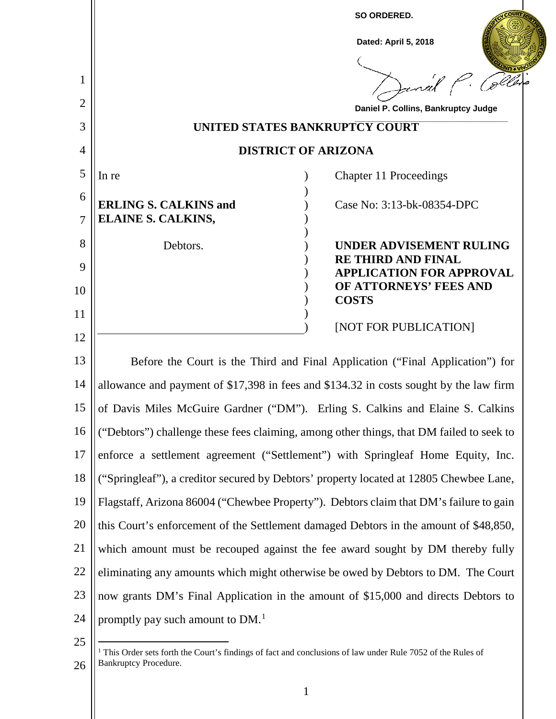

<sup>26</sup> 1 This Order sets forth the Court's findings of fact and conclusions of law under Rule 7052 of the Rules of Bankruptcy Procedure.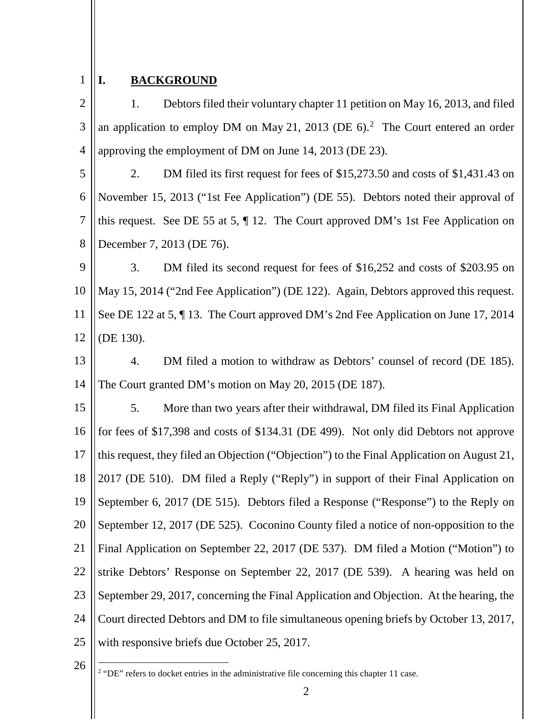## 1 **I. BACKGROUND**

 $\mathcal{D}_{\mathcal{L}}$ 3 4 1. Debtors filed their voluntary chapter 11 petition on May 16, 2013, and filed an application to employ DM on May 21, 2013 (DE  $6$ ).<sup>2</sup> The Court entered an order approving the employment of DM on June 14, 2013 (DE 23).

5 6 7 8 2. DM filed its first request for fees of \$15,273.50 and costs of \$1,431.43 on November 15, 2013 ("1st Fee Application") (DE 55). Debtors noted their approval of this request. See DE 55 at 5, ¶ 12. The Court approved DM's 1st Fee Application on December 7, 2013 (DE 76).

9 10 11 12 3. DM filed its second request for fees of \$16,252 and costs of \$203.95 on May 15, 2014 ("2nd Fee Application") (DE 122). Again, Debtors approved this request. See DE 122 at 5, ¶ 13. The Court approved DM's 2nd Fee Application on June 17, 2014 (DE 130).

13 14 4. DM filed a motion to withdraw as Debtors' counsel of record (DE 185). The Court granted DM's motion on May 20, 2015 (DE 187).

15 16 17 18 19 20 21 22 23 24 25 5. More than two years after their withdrawal, DM filed its Final Application for fees of \$17,398 and costs of \$134.31 (DE 499). Not only did Debtors not approve this request, they filed an Objection ("Objection") to the Final Application on August 21, 2017 (DE 510). DM filed a Reply ("Reply") in support of their Final Application on September 6, 2017 (DE 515). Debtors filed a Response ("Response") to the Reply on September 12, 2017 (DE 525). Coconino County filed a notice of non-opposition to the Final Application on September 22, 2017 (DE 537). DM filed a Motion ("Motion") to strike Debtors' Response on September 22, 2017 (DE 539). A hearing was held on September 29, 2017, concerning the Final Application and Objection. At the hearing, the Court directed Debtors and DM to file simultaneous opening briefs by October 13, 2017, with responsive briefs due October 25, 2017.

26

<sup>2</sup> "DE" refers to docket entries in the administrative file concerning this chapter 11 case.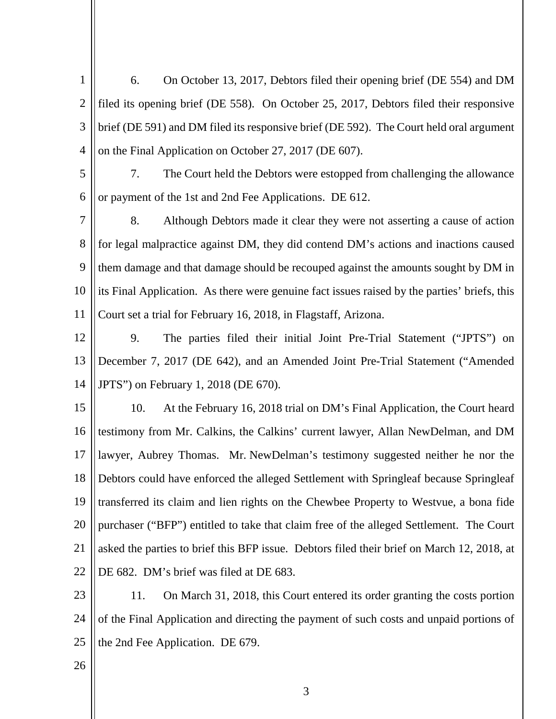1  $\mathcal{D}_{\mathcal{L}}$ 3 4 6. On October 13, 2017, Debtors filed their opening brief (DE 554) and DM filed its opening brief (DE 558). On October 25, 2017, Debtors filed their responsive brief (DE 591) and DM filed its responsive brief (DE 592). The Court held oral argument on the Final Application on October 27, 2017 (DE 607).

- 5 6 7. The Court held the Debtors were estopped from challenging the allowance or payment of the 1st and 2nd Fee Applications. DE 612.
- 7 8 9 10 11 8. Although Debtors made it clear they were not asserting a cause of action for legal malpractice against DM, they did contend DM's actions and inactions caused them damage and that damage should be recouped against the amounts sought by DM in its Final Application. As there were genuine fact issues raised by the parties' briefs, this Court set a trial for February 16, 2018, in Flagstaff, Arizona.
- 12 13 14 9. The parties filed their initial Joint Pre-Trial Statement ("JPTS") on December 7, 2017 (DE 642), and an Amended Joint Pre-Trial Statement ("Amended JPTS") on February 1, 2018 (DE 670).

15 16 17 18 19 20 21 22 10. At the February 16, 2018 trial on DM's Final Application, the Court heard testimony from Mr. Calkins, the Calkins' current lawyer, Allan NewDelman, and DM lawyer, Aubrey Thomas. Mr. NewDelman's testimony suggested neither he nor the Debtors could have enforced the alleged Settlement with Springleaf because Springleaf transferred its claim and lien rights on the Chewbee Property to Westvue, a bona fide purchaser ("BFP") entitled to take that claim free of the alleged Settlement. The Court asked the parties to brief this BFP issue. Debtors filed their brief on March 12, 2018, at DE 682. DM's brief was filed at DE 683.

23 24 25 11. On March 31, 2018, this Court entered its order granting the costs portion of the Final Application and directing the payment of such costs and unpaid portions of the 2nd Fee Application. DE 679.

26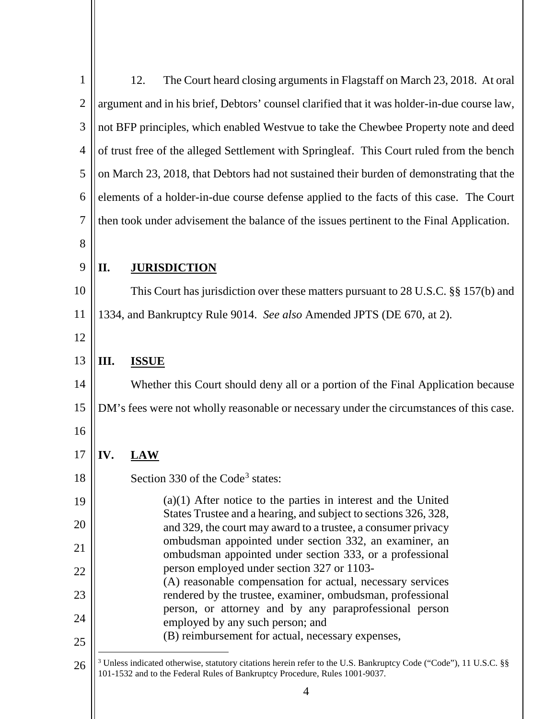| $\mathbf{1}$   | The Court heard closing arguments in Flagstaff on March 23, 2018. At oral<br>12.                                                                                                               |  |  |  |
|----------------|------------------------------------------------------------------------------------------------------------------------------------------------------------------------------------------------|--|--|--|
| $\mathbf{2}$   | argument and in his brief, Debtors' counsel clarified that it was holder-in-due course law,                                                                                                    |  |  |  |
| $\mathfrak{Z}$ | not BFP principles, which enabled Westvue to take the Chewbee Property note and deed                                                                                                           |  |  |  |
| 4              | of trust free of the alleged Settlement with Springleaf. This Court ruled from the bench                                                                                                       |  |  |  |
| 5              | on March 23, 2018, that Debtors had not sustained their burden of demonstrating that the                                                                                                       |  |  |  |
| 6              | elements of a holder-in-due course defense applied to the facts of this case. The Court                                                                                                        |  |  |  |
| 7              | then took under advisement the balance of the issues pertinent to the Final Application.                                                                                                       |  |  |  |
| 8              |                                                                                                                                                                                                |  |  |  |
| 9              | II.<br><b>JURISDICTION</b>                                                                                                                                                                     |  |  |  |
| 10             | This Court has jurisdiction over these matters pursuant to 28 U.S.C. §§ 157(b) and                                                                                                             |  |  |  |
| 11             | 1334, and Bankruptcy Rule 9014. See also Amended JPTS (DE 670, at 2).                                                                                                                          |  |  |  |
| 12             |                                                                                                                                                                                                |  |  |  |
| 13             | Ш.<br><b>ISSUE</b>                                                                                                                                                                             |  |  |  |
| 14             | Whether this Court should deny all or a portion of the Final Application because                                                                                                               |  |  |  |
| 15             | DM's fees were not wholly reasonable or necessary under the circumstances of this case.                                                                                                        |  |  |  |
| 16             |                                                                                                                                                                                                |  |  |  |
| 17             | IV.<br><b>LAW</b>                                                                                                                                                                              |  |  |  |
| 18             | Section 330 of the Code <sup>3</sup> states:                                                                                                                                                   |  |  |  |
| 19             | $(a)(1)$ After notice to the parties in interest and the United<br>States Trustee and a hearing, and subject to sections 326, 328,                                                             |  |  |  |
| 20             | and 329, the court may award to a trustee, a consumer privacy                                                                                                                                  |  |  |  |
| 21             | ombudsman appointed under section 332, an examiner, an<br>ombudsman appointed under section 333, or a professional                                                                             |  |  |  |
| 22             | person employed under section 327 or 1103-<br>(A) reasonable compensation for actual, necessary services                                                                                       |  |  |  |
| 23             | rendered by the trustee, examiner, ombudsman, professional<br>person, or attorney and by any paraprofessional person                                                                           |  |  |  |
| 24             | employed by any such person; and                                                                                                                                                               |  |  |  |
| 25             | (B) reimbursement for actual, necessary expenses,                                                                                                                                              |  |  |  |
| 26             | Unless indicated otherwise, statutory citations herein refer to the U.S. Bankruptcy Code ("Code"), 11 U.S.C. §§<br>101-1532 and to the Federal Rules of Bankruptcy Procedure, Rules 1001-9037. |  |  |  |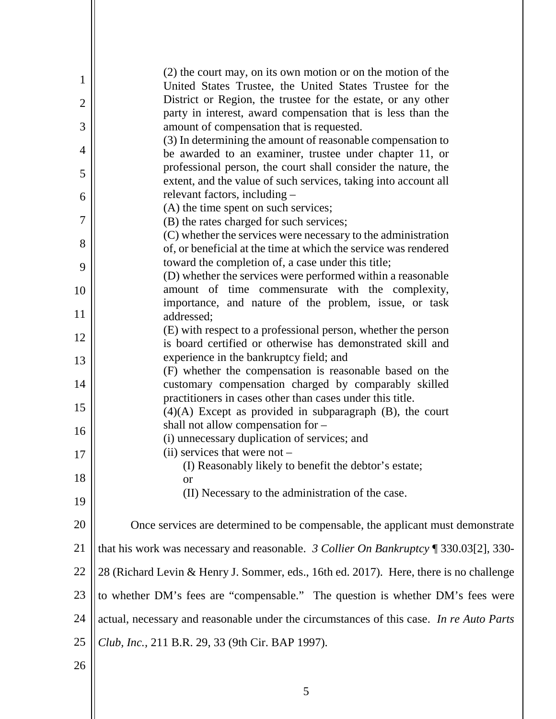| $\mathbf{1}$   | (2) the court may, on its own motion or on the motion of the<br>United States Trustee, the United States Trustee for the         |
|----------------|----------------------------------------------------------------------------------------------------------------------------------|
| $\overline{2}$ | District or Region, the trustee for the estate, or any other                                                                     |
| 3              | party in interest, award compensation that is less than the<br>amount of compensation that is requested.                         |
| 4              | (3) In determining the amount of reasonable compensation to<br>be awarded to an examiner, trustee under chapter 11, or           |
| 5              | professional person, the court shall consider the nature, the<br>extent, and the value of such services, taking into account all |
| 6              | relevant factors, including –                                                                                                    |
| 7              | (A) the time spent on such services;<br>(B) the rates charged for such services;                                                 |
|                | (C) whether the services were necessary to the administration                                                                    |
| 8              | of, or beneficial at the time at which the service was rendered                                                                  |
| 9              | toward the completion of, a case under this title;                                                                               |
|                | (D) whether the services were performed within a reasonable                                                                      |
| 10             | amount of time commensurate with the complexity,<br>importance, and nature of the problem, issue, or task                        |
| 11             | addressed;                                                                                                                       |
| 12             | (E) with respect to a professional person, whether the person                                                                    |
|                | is board certified or otherwise has demonstrated skill and<br>experience in the bankruptcy field; and                            |
| 13             | (F) whether the compensation is reasonable based on the                                                                          |
| 14             | customary compensation charged by comparably skilled                                                                             |
|                | practitioners in cases other than cases under this title.                                                                        |
| 15             | $(4)(A)$ Except as provided in subparagraph $(B)$ , the court                                                                    |
|                | shall not allow compensation for -                                                                                               |
| 16             | (i) unnecessary duplication of services; and                                                                                     |
| 17             | (ii) services that were not -                                                                                                    |
|                | (I) Reasonably likely to benefit the debtor's estate;                                                                            |
| 18             | or                                                                                                                               |
| 19             | (II) Necessary to the administration of the case.                                                                                |
| 20             | Once services are determined to be compensable, the applicant must demonstrate                                                   |
| 21             | that his work was necessary and reasonable. 3 Collier On Bankruptcy $\llbracket 330.03[2], 330$ -                                |
| 22             | 28 (Richard Levin & Henry J. Sommer, eds., 16th ed. 2017). Here, there is no challenge                                           |
| 23             | to whether DM's fees are "compensable." The question is whether DM's fees were                                                   |
| 24             | actual, necessary and reasonable under the circumstances of this case. In re Auto Parts                                          |
| 25             | Club, Inc., 211 B.R. 29, 33 (9th Cir. BAP 1997).                                                                                 |
| 26             |                                                                                                                                  |

5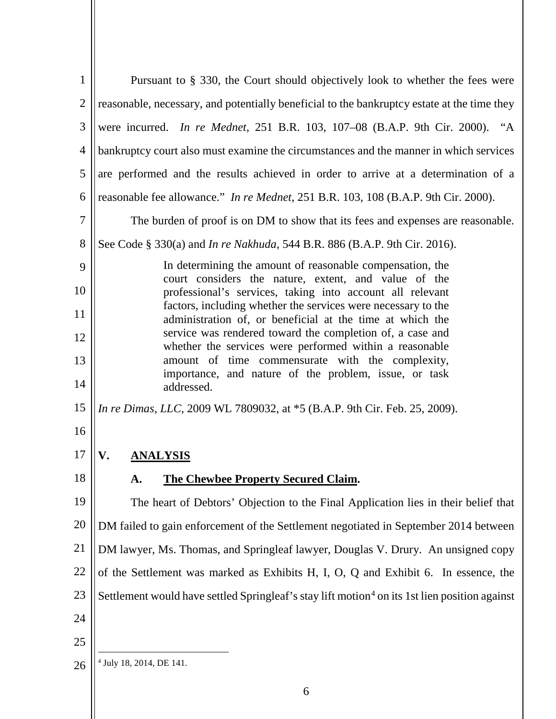| Pursuant to § 330, the Court should objectively look to whether the fees were                                              |
|----------------------------------------------------------------------------------------------------------------------------|
| reasonable, necessary, and potentially beneficial to the bankruptcy estate at the time they                                |
| were incurred. <i>In re Mednet</i> , 251 B.R. 103, 107-08 (B.A.P. 9th Cir. 2000). "A                                       |
| bankruptcy court also must examine the circumstances and the manner in which services                                      |
| are performed and the results achieved in order to arrive at a determination of a                                          |
| reasonable fee allowance." In re Mednet, 251 B.R. 103, 108 (B.A.P. 9th Cir. 2000).                                         |
| The burden of proof is on DM to show that its fees and expenses are reasonable.                                            |
| See Code § 330(a) and <i>In re Nakhuda</i> , 544 B.R. 886 (B.A.P. 9th Cir. 2016).                                          |
| In determining the amount of reasonable compensation, the<br>court considers the nature, extent, and value of the          |
| professional's services, taking into account all relevant                                                                  |
| factors, including whether the services were necessary to the<br>administration of, or beneficial at the time at which the |
| service was rendered toward the completion of, a case and<br>whether the services were performed within a reasonable       |
| amount of time commensurate with the complexity,<br>importance, and nature of the problem, issue, or task                  |
| addressed.                                                                                                                 |
| In re Dimas, LLC, 2009 WL 7809032, at *5 (B.A.P. 9th Cir. Feb. 25, 2009).                                                  |
|                                                                                                                            |
|                                                                                                                            |
| <b>The Chewbee Property Secured Claim.</b><br>A.                                                                           |
| The heart of Debtors' Objection to the Final Application lies in their belief that                                         |
| DM failed to gain enforcement of the Settlement negotiated in September 2014 between                                       |
| DM lawyer, Ms. Thomas, and Springleaf lawyer, Douglas V. Drury. An unsigned copy                                           |
| of the Settlement was marked as Exhibits H, I, O, Q and Exhibit 6. In essence, the                                         |
| Settlement would have settled Springleaf's stay lift motion <sup>4</sup> on its 1st lien position against                  |
|                                                                                                                            |
|                                                                                                                            |
| <sup>4</sup> July 18, 2014, DE 141.                                                                                        |
|                                                                                                                            |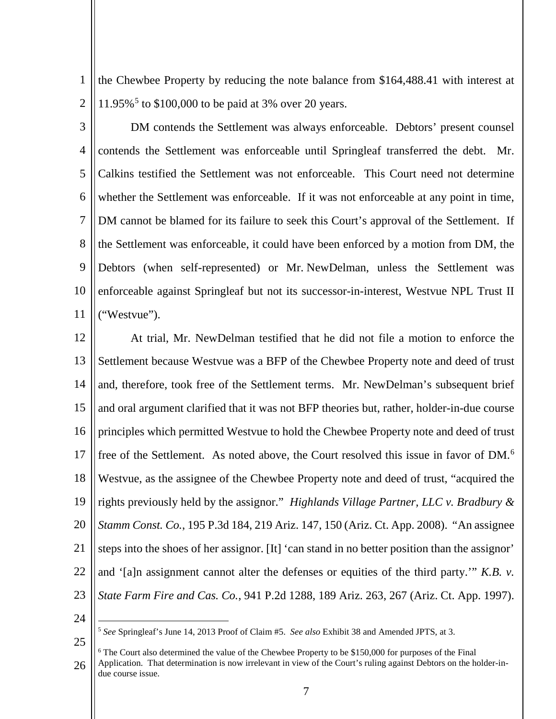1  $\mathcal{D}_{\mathcal{L}}$ the Chewbee Property by reducing the note balance from \$164,488.41 with interest at 11.95%<sup>5</sup> to \$100,000 to be paid at 3% over 20 years.

3 4 5 6 7 8 9 10 11 DM contends the Settlement was always enforceable. Debtors' present counsel contends the Settlement was enforceable until Springleaf transferred the debt. Mr. Calkins testified the Settlement was not enforceable. This Court need not determine whether the Settlement was enforceable. If it was not enforceable at any point in time, DM cannot be blamed for its failure to seek this Court's approval of the Settlement. If the Settlement was enforceable, it could have been enforced by a motion from DM, the Debtors (when self-represented) or Mr. NewDelman, unless the Settlement was enforceable against Springleaf but not its successor-in-interest, Westvue NPL Trust II ("Westvue").

12 13 14 15 16 17 18 19 20 21 22 23 At trial, Mr. NewDelman testified that he did not file a motion to enforce the Settlement because Westvue was a BFP of the Chewbee Property note and deed of trust and, therefore, took free of the Settlement terms. Mr. NewDelman's subsequent brief and oral argument clarified that it was not BFP theories but, rather, holder-in-due course principles which permitted Westvue to hold the Chewbee Property note and deed of trust free of the Settlement. As noted above, the Court resolved this issue in favor of DM.<sup>6</sup> Westvue, as the assignee of the Chewbee Property note and deed of trust, "acquired the rights previously held by the assignor." *Highlands Village Partner, LLC v. Bradbury & Stamm Const. Co.*, 195 P.3d 184, 219 Ariz. 147, 150 (Ariz. Ct. App. 2008). "An assignee steps into the shoes of her assignor. [It] 'can stand in no better position than the assignor' and '[a]n assignment cannot alter the defenses or equities of the third party.'" *K.B. v. State Farm Fire and Cas. Co.*, 941 P.2d 1288, 189 Ariz. 263, 267 (Ariz. Ct. App. 1997).

24

25

5 *See* Springleaf's June 14, 2013 Proof of Claim #5. *See also* Exhibit <sup>38</sup> and Amended JPTS, at 3.

26  $6$  The Court also determined the value of the Chewbee Property to be \$150,000 for purposes of the Final Application. That determination is now irrelevant in view of the Court's ruling against Debtors on the holder-indue course issue.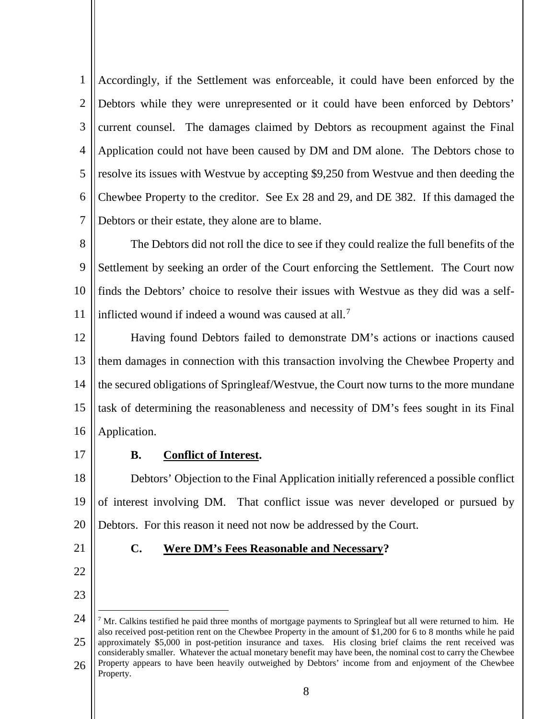1  $\mathcal{D}_{\mathcal{L}}$ 3 4 5 6 7 Accordingly, if the Settlement was enforceable, it could have been enforced by the Debtors while they were unrepresented or it could have been enforced by Debtors' current counsel. The damages claimed by Debtors as recoupment against the Final Application could not have been caused by DM and DM alone. The Debtors chose to resolve its issues with Westvue by accepting \$9,250 from Westvue and then deeding the Chewbee Property to the creditor. See Ex 28 and 29, and DE 382. If this damaged the Debtors or their estate, they alone are to blame.

8 9 10 11 The Debtors did not roll the dice to see if they could realize the full benefits of the Settlement by seeking an order of the Court enforcing the Settlement. The Court now finds the Debtors' choice to resolve their issues with Westvue as they did was a selfinflicted wound if indeed a wound was caused at all.<sup>7</sup>

- 12 13 14 15 16 Having found Debtors failed to demonstrate DM's actions or inactions caused them damages in connection with this transaction involving the Chewbee Property and the secured obligations of Springleaf/Westvue, the Court now turns to the more mundane task of determining the reasonableness and necessity of DM's fees sought in its Final Application.
- 17

## **B. Conflict of Interest.**

18 19 20 Debtors' Objection to the Final Application initially referenced a possible conflict of interest involving DM. That conflict issue was never developed or pursued by Debtors. For this reason it need not now be addressed by the Court.

21

22

23

## **C. Were DM's Fees Reasonable and Necessary?**

24 25 26  $<sup>7</sup>$  Mr. Calkins testified he paid three months of mortgage payments to Springleaf but all were returned to him. He</sup> also received post-petition rent on the Chewbee Property in the amount of \$1,200 for 6 to 8 months while he paid approximately \$5,000 in post-petition insurance and taxes. His closing brief claims the rent received was considerably smaller. Whatever the actual monetary benefit may have been, the nominal cost to carry the Chewbee Property appears to have been heavily outweighed by Debtors' income from and enjoyment of the Chewbee Property.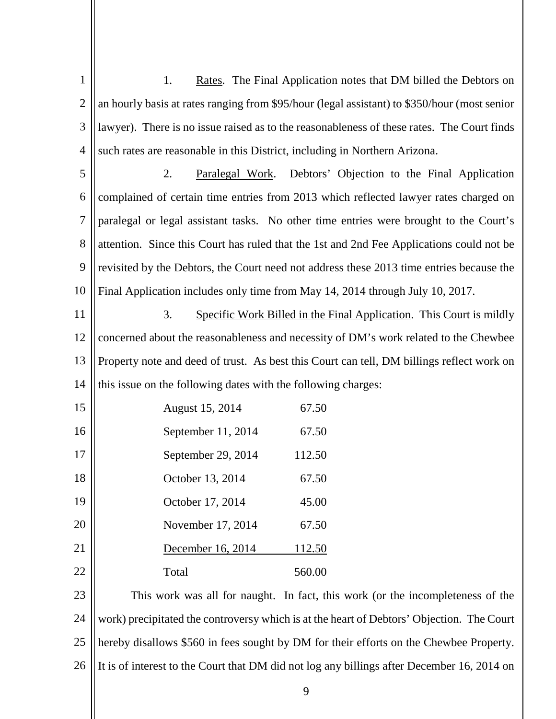| $\mathbf{1}$   | 1.<br>Rates. The Final Application notes that DM billed the Debtors on                       |
|----------------|----------------------------------------------------------------------------------------------|
| $\overline{2}$ | an hourly basis at rates ranging from \$95/hour (legal assistant) to \$350/hour (most senior |
| 3              | lawyer). There is no issue raised as to the reasonableness of these rates. The Court finds   |
| 4              | such rates are reasonable in this District, including in Northern Arizona.                   |
| 5              | Paralegal Work. Debtors' Objection to the Final Application<br>2.                            |
| 6              | complained of certain time entries from 2013 which reflected lawyer rates charged on         |
| $\overline{7}$ | paralegal or legal assistant tasks. No other time entries were brought to the Court's        |
| 8              | attention. Since this Court has ruled that the 1st and 2nd Fee Applications could not be     |
| 9              | revisited by the Debtors, the Court need not address these 2013 time entries because the     |
| 10             | Final Application includes only time from May 14, 2014 through July 10, 2017.                |
| 11             | 3.<br>Specific Work Billed in the Final Application. This Court is mildly                    |
| 12             | concerned about the reasonableness and necessity of DM's work related to the Chewbee         |
| 13             | Property note and deed of trust. As best this Court can tell, DM billings reflect work on    |
| 14             | this issue on the following dates with the following charges:                                |
| 15             | August 15, 2014<br>67.50                                                                     |
| 16             | September 11, 2014<br>67.50                                                                  |
| 17             | September 29, 2014<br>112.50                                                                 |
| 18             | October 13, 2014<br>67.50                                                                    |
| 19             | October 17, 2014<br>45.00                                                                    |
| 20             | November 17, 2014<br>67.50                                                                   |
| 21             | December 16, 2014<br>112.50                                                                  |
| <u>22</u>      | 560.00<br>Total                                                                              |
| 23             | This work was all for naught. In fact, this work (or the incompleteness of the               |
| 24             | work) precipitated the controversy which is at the heart of Debtors' Objection. The Court    |
| 25             | hereby disallows \$560 in fees sought by DM for their efforts on the Chewbee Property.       |
| 26             | It is of interest to the Court that DM did not log any billings after December 16, 2014 on   |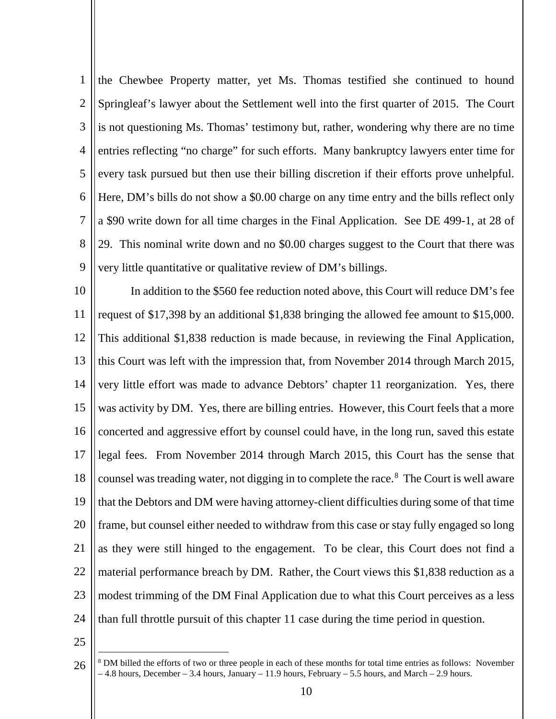1  $\mathcal{D}_{\mathcal{L}}$ 3 4 5 6 7 8 9 the Chewbee Property matter, yet Ms. Thomas testified she continued to hound Springleaf's lawyer about the Settlement well into the first quarter of 2015. The Court is not questioning Ms. Thomas' testimony but, rather, wondering why there are no time entries reflecting "no charge" for such efforts. Many bankruptcy lawyers enter time for every task pursued but then use their billing discretion if their efforts prove unhelpful. Here, DM's bills do not show a \$0.00 charge on any time entry and the bills reflect only a \$90 write down for all time charges in the Final Application. See DE 499-1, at 28 of 29. This nominal write down and no \$0.00 charges suggest to the Court that there was very little quantitative or qualitative review of DM's billings.

10 11 12 13 14 15 16 17 18 19 20 21 22 23 24 In addition to the \$560 fee reduction noted above, this Court will reduce DM's fee request of \$17,398 by an additional \$1,838 bringing the allowed fee amount to \$15,000. This additional \$1,838 reduction is made because, in reviewing the Final Application, this Court was left with the impression that, from November 2014 through March 2015, very little effort was made to advance Debtors' chapter 11 reorganization. Yes, there was activity by DM. Yes, there are billing entries. However, this Court feels that a more concerted and aggressive effort by counsel could have, in the long run, saved this estate legal fees. From November 2014 through March 2015, this Court has the sense that counsel was treading water, not digging in to complete the race.<sup>8</sup> The Court is well aware that the Debtors and DM were having attorney-client difficulties during some of that time frame, but counsel either needed to withdraw from this case or stay fully engaged so long as they were still hinged to the engagement. To be clear, this Court does not find a material performance breach by DM. Rather, the Court views this \$1,838 reduction as a modest trimming of the DM Final Application due to what this Court perceives as a less than full throttle pursuit of this chapter 11 case during the time period in question.

25

<sup>26</sup> <sup>8</sup> DM billed the efforts of two or three people in each of these months for total time entries as follows: November  $-4.8$  hours, December  $-3.4$  hours, January  $-11.9$  hours, February  $-5.5$  hours, and March  $-2.9$  hours.